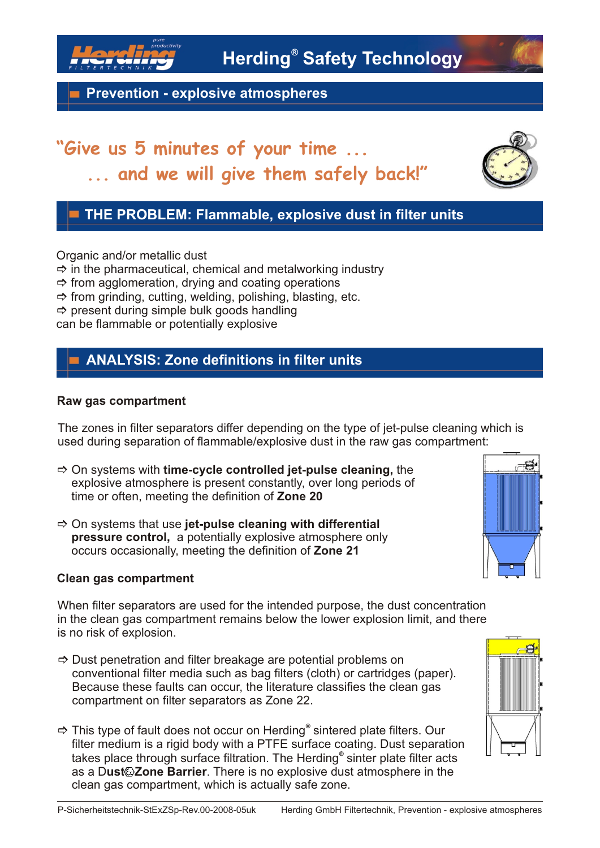

**Prevention - explosive atmospheres**

# **"Give us 5 minutes of your time ... ... and we will give them safely back!"**



Organic and/or metallic dust

 $\Rightarrow$  in the pharmaceutical, chemical and metalworking industry

- $\Rightarrow$  from agglomeration, drying and coating operations
- $\Rightarrow$  from grinding, cutting, welding, polishing, blasting, etc.
- $\Rightarrow$  present during simple bulk goods handling

can be flammable or potentially explosive

### **ANALYSIS: Zone definitions in filter units**

#### **Raw gas compartment**

The zones in filter separators differ depending on the type of jet-pulse cleaning which is used during separation of flammable/explosive dust in the raw gas compartment:

- $\Rightarrow$  **On systems with time-cycle controlled jet-pulse cleaning, the** explosive atmosphere is present constantly, over long periods of time or often, meeting the definition of **Zone 20**
- ] On systems that use **jet-pulse cleaning with differential pressure control,** a potentially explosive atmosphere only occurs occasionally, meeting the definition of **Zone 21**

#### **Clean gas compartment**

When filter separators are used for the intended purpose, the dust concentration in the clean gas compartment remains below the lower explosion limit, and there is no risk of explosion.

- $\Rightarrow$  Dust penetration and filter breakage are potential problems on conventional filter media such as bag filters (cloth) or cartridges (paper). Because these faults can occur, the literature classifies the clean gas compartment on filter separators as Zone 22.
- $\Rightarrow$  This type of fault does not occur on Herding<sup>®</sup> sintered plate filters. Our filter medium is a rigid body with a PTFE surface coating. Dust separation takes place through surface filtration. The Herding<sup>®</sup> sinter plate filter acts as a Dust<sup>7</sup> Zone Barrier. There is no explosive dust atmosphere in the clean gas compartment, which is actually safe zone.